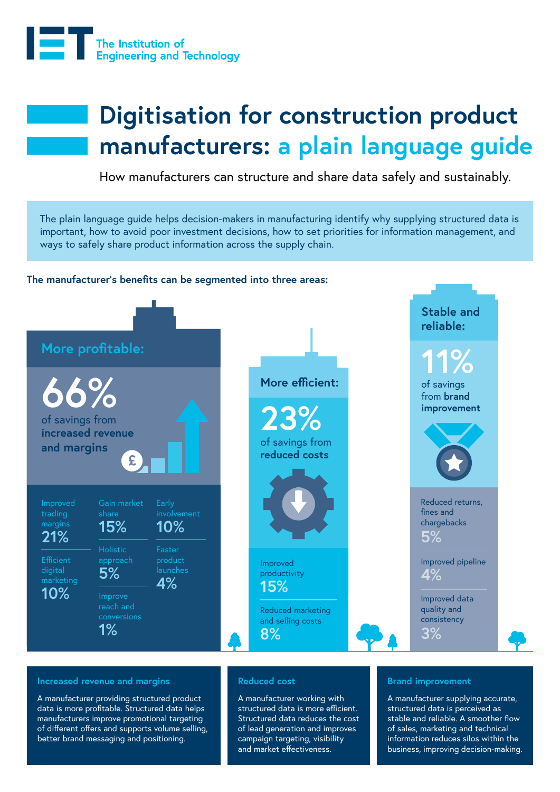

# **Digitisation for construction product manufacturers: a plain language guide**

How manufacturers can structure and share data safely and sustainably.

The plain language guide helps decision-makers in manufacturing identify why supplying structured data is important, how to avoid poor investment decisions, how to set priorities for information management, and ways to safely share product information across the supply chain.



#### **Increased revenue and margins**

A manufacturer providing structured product data is more profitable. Structured data helps manufacturers improve promotional targeting of different offers and supports volume selling, better brand messaging and positioning.

#### **Reduced cost**

A manufacturer working with structured data is more efficient. Structured data reduces the cost of lead generation and improves campaign targeting, visibility and market effectiveness.

#### **Brand improvement**

A manufacturer supplying accurate, structured data is perceived as stable and reliable. A smoother flow of sales, marketing and technical information reduces silos within the business, improving decision-making.